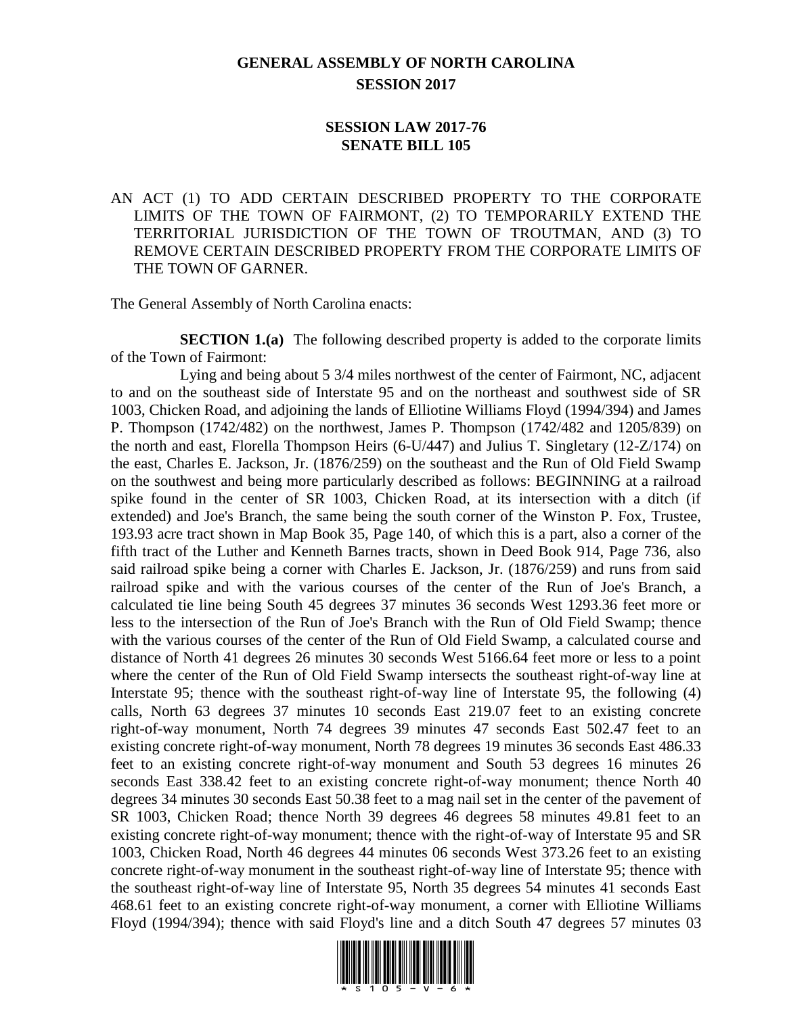## **GENERAL ASSEMBLY OF NORTH CAROLINA SESSION 2017**

## **SESSION LAW 2017-76 SENATE BILL 105**

## AN ACT (1) TO ADD CERTAIN DESCRIBED PROPERTY TO THE CORPORATE LIMITS OF THE TOWN OF FAIRMONT, (2) TO TEMPORARILY EXTEND THE TERRITORIAL JURISDICTION OF THE TOWN OF TROUTMAN, AND (3) TO REMOVE CERTAIN DESCRIBED PROPERTY FROM THE CORPORATE LIMITS OF THE TOWN OF GARNER.

The General Assembly of North Carolina enacts:

**SECTION 1.(a)** The following described property is added to the corporate limits of the Town of Fairmont:

Lying and being about 5 3/4 miles northwest of the center of Fairmont, NC, adjacent to and on the southeast side of Interstate 95 and on the northeast and southwest side of SR 1003, Chicken Road, and adjoining the lands of Elliotine Williams Floyd (1994/394) and James P. Thompson (1742/482) on the northwest, James P. Thompson (1742/482 and 1205/839) on the north and east, Florella Thompson Heirs (6-U/447) and Julius T. Singletary (12-Z/174) on the east, Charles E. Jackson, Jr. (1876/259) on the southeast and the Run of Old Field Swamp on the southwest and being more particularly described as follows: BEGINNING at a railroad spike found in the center of SR 1003, Chicken Road, at its intersection with a ditch (if extended) and Joe's Branch, the same being the south corner of the Winston P. Fox, Trustee, 193.93 acre tract shown in Map Book 35, Page 140, of which this is a part, also a corner of the fifth tract of the Luther and Kenneth Barnes tracts, shown in Deed Book 914, Page 736, also said railroad spike being a corner with Charles E. Jackson, Jr. (1876/259) and runs from said railroad spike and with the various courses of the center of the Run of Joe's Branch, a calculated tie line being South 45 degrees 37 minutes 36 seconds West 1293.36 feet more or less to the intersection of the Run of Joe's Branch with the Run of Old Field Swamp; thence with the various courses of the center of the Run of Old Field Swamp, a calculated course and distance of North 41 degrees 26 minutes 30 seconds West 5166.64 feet more or less to a point where the center of the Run of Old Field Swamp intersects the southeast right-of-way line at Interstate 95; thence with the southeast right-of-way line of Interstate 95, the following (4) calls, North 63 degrees 37 minutes 10 seconds East 219.07 feet to an existing concrete right-of-way monument, North 74 degrees 39 minutes 47 seconds East 502.47 feet to an existing concrete right-of-way monument, North 78 degrees 19 minutes 36 seconds East 486.33 feet to an existing concrete right-of-way monument and South 53 degrees 16 minutes 26 seconds East 338.42 feet to an existing concrete right-of-way monument; thence North 40 degrees 34 minutes 30 seconds East 50.38 feet to a mag nail set in the center of the pavement of SR 1003, Chicken Road; thence North 39 degrees 46 degrees 58 minutes 49.81 feet to an existing concrete right-of-way monument; thence with the right-of-way of Interstate 95 and SR 1003, Chicken Road, North 46 degrees 44 minutes 06 seconds West 373.26 feet to an existing concrete right-of-way monument in the southeast right-of-way line of Interstate 95; thence with the southeast right-of-way line of Interstate 95, North 35 degrees 54 minutes 41 seconds East 468.61 feet to an existing concrete right-of-way monument, a corner with Elliotine Williams Floyd (1994/394); thence with said Floyd's line and a ditch South 47 degrees 57 minutes 03

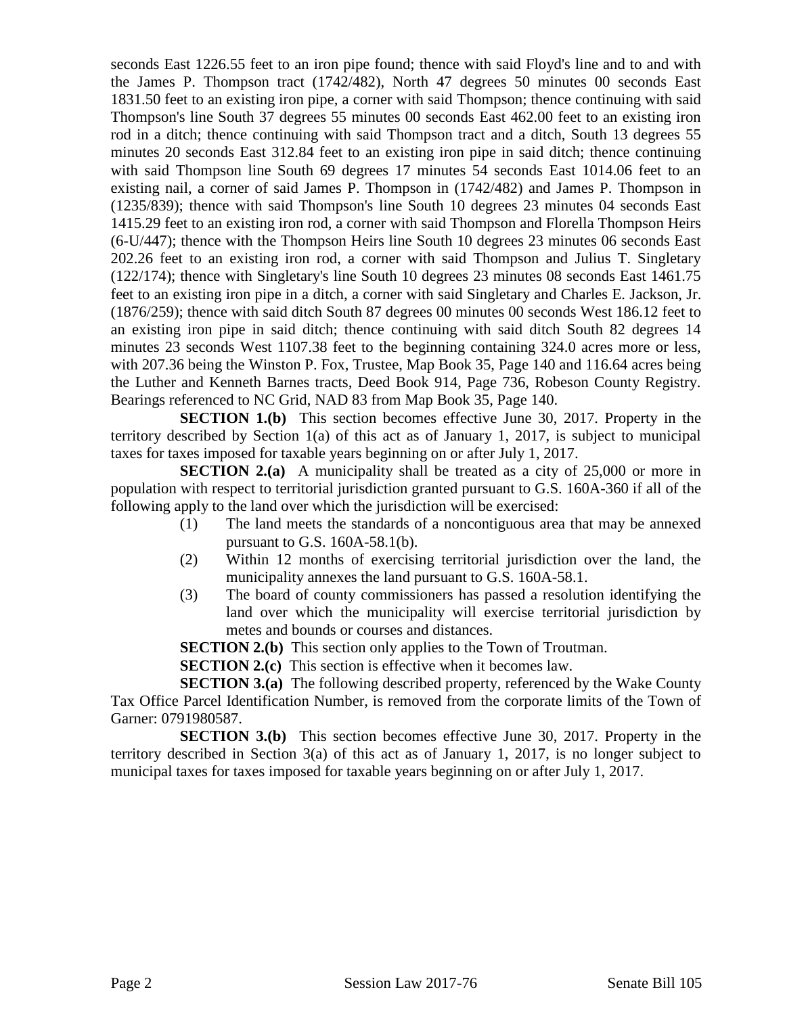seconds East 1226.55 feet to an iron pipe found; thence with said Floyd's line and to and with the James P. Thompson tract (1742/482), North 47 degrees 50 minutes 00 seconds East 1831.50 feet to an existing iron pipe, a corner with said Thompson; thence continuing with said Thompson's line South 37 degrees 55 minutes 00 seconds East 462.00 feet to an existing iron rod in a ditch; thence continuing with said Thompson tract and a ditch, South 13 degrees 55 minutes 20 seconds East 312.84 feet to an existing iron pipe in said ditch; thence continuing with said Thompson line South 69 degrees 17 minutes 54 seconds East 1014.06 feet to an existing nail, a corner of said James P. Thompson in (1742/482) and James P. Thompson in (1235/839); thence with said Thompson's line South 10 degrees 23 minutes 04 seconds East 1415.29 feet to an existing iron rod, a corner with said Thompson and Florella Thompson Heirs (6-U/447); thence with the Thompson Heirs line South 10 degrees 23 minutes 06 seconds East 202.26 feet to an existing iron rod, a corner with said Thompson and Julius T. Singletary (122/174); thence with Singletary's line South 10 degrees 23 minutes 08 seconds East 1461.75 feet to an existing iron pipe in a ditch, a corner with said Singletary and Charles E. Jackson, Jr. (1876/259); thence with said ditch South 87 degrees 00 minutes 00 seconds West 186.12 feet to an existing iron pipe in said ditch; thence continuing with said ditch South 82 degrees 14 minutes 23 seconds West 1107.38 feet to the beginning containing 324.0 acres more or less, with 207.36 being the Winston P. Fox, Trustee, Map Book 35, Page 140 and 116.64 acres being the Luther and Kenneth Barnes tracts, Deed Book 914, Page 736, Robeson County Registry. Bearings referenced to NC Grid, NAD 83 from Map Book 35, Page 140.

**SECTION 1.(b)** This section becomes effective June 30, 2017. Property in the territory described by Section 1(a) of this act as of January 1, 2017, is subject to municipal taxes for taxes imposed for taxable years beginning on or after July 1, 2017.

**SECTION 2.(a)** A municipality shall be treated as a city of 25,000 or more in population with respect to territorial jurisdiction granted pursuant to G.S. 160A-360 if all of the following apply to the land over which the jurisdiction will be exercised:

- (1) The land meets the standards of a noncontiguous area that may be annexed pursuant to G.S. 160A-58.1(b).
- (2) Within 12 months of exercising territorial jurisdiction over the land, the municipality annexes the land pursuant to G.S. 160A-58.1.
- (3) The board of county commissioners has passed a resolution identifying the land over which the municipality will exercise territorial jurisdiction by metes and bounds or courses and distances.

**SECTION 2.(b)** This section only applies to the Town of Troutman.

**SECTION 2.(c)** This section is effective when it becomes law.

**SECTION 3.(a)** The following described property, referenced by the Wake County Tax Office Parcel Identification Number, is removed from the corporate limits of the Town of Garner: 0791980587.

**SECTION 3.(b)** This section becomes effective June 30, 2017. Property in the territory described in Section 3(a) of this act as of January 1, 2017, is no longer subject to municipal taxes for taxes imposed for taxable years beginning on or after July 1, 2017.